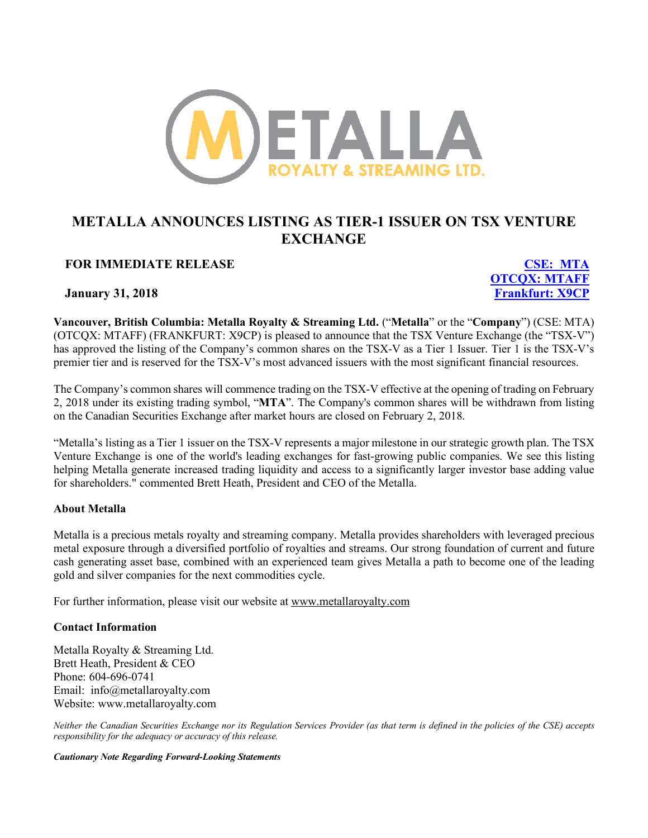

## **METALLA ANNOUNCES LISTING AS TIER-1 ISSUER ON TSX VENTURE EXCHANGE**

## **FOR IMMEDIATE RELEASE CSE: MTA**

**OTCQX: MTAFF January 31, 2018 Frankfurt: X9CP**

**Vancouver, British Columbia: Metalla Royalty & Streaming Ltd.** ("**Metalla**" or the "**Company**") (CSE: MTA) (OTCQX: MTAFF) (FRANKFURT: X9CP) is pleased to announce that the TSX Venture Exchange (the "TSX-V") has approved the listing of the Company's common shares on the TSX-V as a Tier 1 Issuer. Tier 1 is the TSX-V's premier tier and is reserved for the TSX-V's most advanced issuers with the most significant financial resources.

The Company's common shares will commence trading on the TSX-V effective at the opening of trading on February 2, 2018 under its existing trading symbol, "**MTA**". The Company's common shares will be withdrawn from listing on the Canadian Securities Exchange after market hours are closed on February 2, 2018.

"Metalla's listing as a Tier 1 issuer on the TSX-V represents a major milestone in our strategic growth plan. The TSX Venture Exchange is one of the world's leading exchanges for fast-growing public companies. We see this listing helping Metalla generate increased trading liquidity and access to a significantly larger investor base adding value for shareholders." commented Brett Heath, President and CEO of the Metalla.

## **About Metalla**

Metalla is a precious metals royalty and streaming company. Metalla provides shareholders with leveraged precious metal exposure through a diversified portfolio of royalties and streams. Our strong foundation of current and future cash generating asset base, combined with an experienced team gives Metalla a path to become one of the leading gold and silver companies for the next commodities cycle.

For further information, please visit our website at www.metallaroyalty.com

## **Contact Information**

Metalla Royalty & Streaming Ltd. Brett Heath, President & CEO Phone: 604-696-0741 Email: info@metallaroyalty.com Website: www.metallaroyalty.com

*Neither the Canadian Securities Exchange nor its Regulation Services Provider (as that term is defined in the policies of the CSE) accepts responsibility for the adequacy or accuracy of this release.*

*Cautionary Note Regarding Forward-Looking Statements*